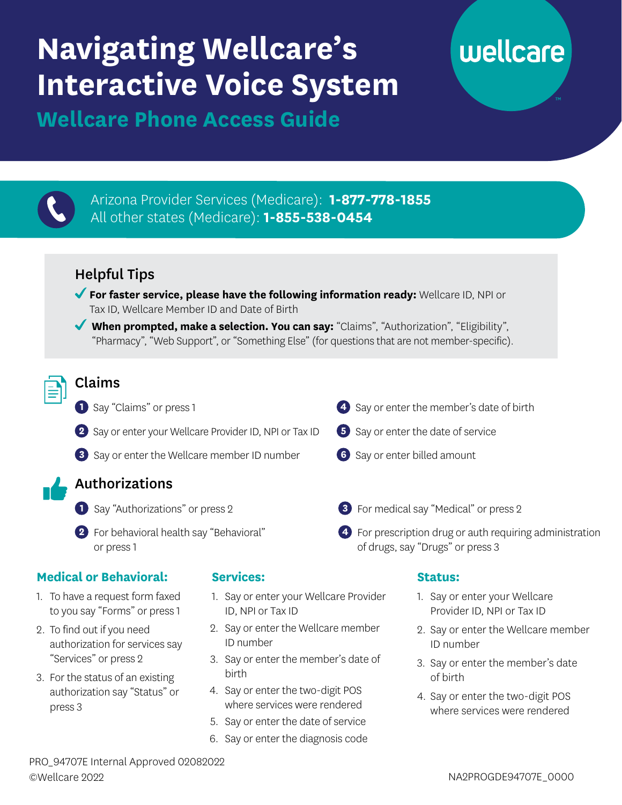## **Navigating Wellcare's Interactive Voice System**

# wellcare

**Wellcare Phone Access Guide** 



- 3. Say or enter the member's date of birth
- 4. Say or enter the two-digit POS where services were rendered

PRO\_94707E Internal Approved 02082022 ©Wellcare 2022 NA2PROGDE94707E\_0000

birth

4. Say or enter the two-digit POS where services were rendered 5. Say or enter the date of service 6. Say or enter the diagnosis code

3. For the status of an existing authorization say "Status" or

press 3